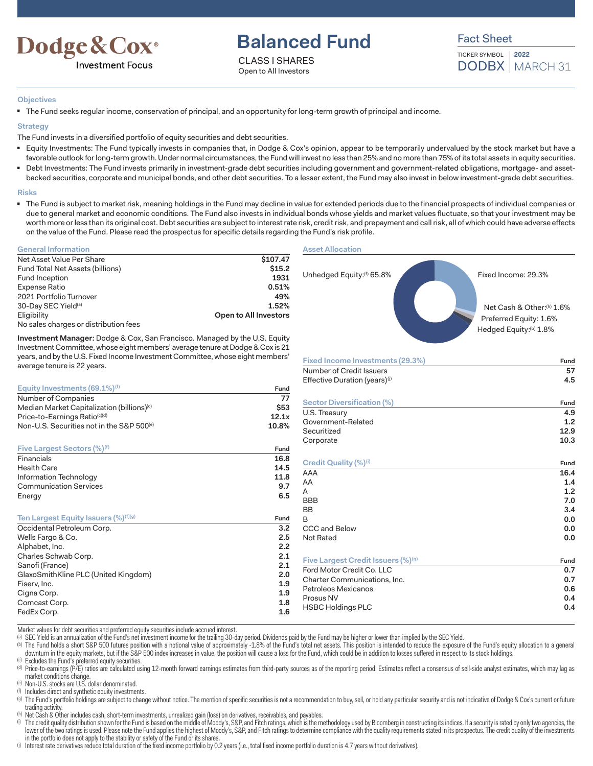

# **Balanced Fund**

CLASS I SHARES Open to All Investors



TICKER SYMBOL DODBX | MARCH 31 **2022**

### **Objectives**

■ The Fund seeks regular income, conservation of principal, and an opportunity for long-term growth of principal and income.

### **Strategy**

The Fund invests in a diversified portfolio of equity securities and debt securities.

- Equity Investments: The Fund typically invests in companies that, in Dodge & Cox's opinion, appear to be temporarily undervalued by the stock market but have a favorable outlook for long-term growth. Under normal circumstances, the Fund will invest no less than 25% and no more than 75% of its total assets in equity securities.
- Debt Investments: The Fund invests primarily in investment-grade debt securities including government and government-related obligations, mortgage- and assetbacked securities, corporate and municipal bonds, and other debt securities. To a lesser extent, the Fund may also invest in below investment-grade debt securities.

### **Risks**

■ The Fund is subject to market risk, meaning holdings in the Fund may decline in value for extended periods due to the financial prospects of individual companies or due to general market and economic conditions. The Fund also invests in individual bonds whose yields and market values fluctuate, so that your investment may be worth more or less than its original cost. Debt securities are subject to interest rate risk, credit risk, and prepayment and call risk, all of which could have adverse effects on the value of the Fund. Please read the prospectus for specific details regarding the Fund's risk profile.

# **General Information**

| Net Asset Value Per Share             | \$107.47              |
|---------------------------------------|-----------------------|
| Fund Total Net Assets (billions)      | \$15.2                |
| Fund Inception                        | 1931                  |
| Expense Ratio                         | 0.51%                 |
| 2021 Portfolio Turnover               | 49%                   |
| 30-Day SEC Yield <sup>(a)</sup>       | 1.52%                 |
| Eligibility                           | Open to All Investors |
| No sales charges or distribution fees |                       |

**Investment Manager:** Dodge & Cox, San Francisco. Managed by the U.S. Equity Investment Committee, whose eight members' average tenure at Dodge & Cox is 21 years, and by the U.S. Fixed Income Investment Committee, whose eight members' average tenure is 22 years.

| Equity Investments $(69.1\%)$ <sup>(f)</sup>           | Fund  |
|--------------------------------------------------------|-------|
| Number of Companies                                    | 77    |
| Median Market Capitalization (billions) <sup>(c)</sup> | \$53  |
| Price-to-Earnings Ratio(c)(d)                          | 12.1x |
| Non-U.S. Securities not in the S&P 500 <sup>(e)</sup>  | 10.8% |
| <b>Five Largest Sectors (%)</b> <sup>(f)</sup>         | Fund  |
| Financials                                             | 16.8  |
| Health Care                                            | 14.5  |
| Information Technology                                 | 11.8  |
| <b>Communication Services</b>                          | 9.7   |
| Energy                                                 | 6.5   |
| Ten Largest Equity Issuers (%) <sup>(f)(g)</sup>       | Fund  |
| Occidental Petroleum Corp.                             | 3.2   |
| Wells Fargo & Co.                                      | 2.5   |
| Alphabet, Inc.                                         | 2.2   |
| Charles Schwab Corp.                                   | 2.1   |
| Sanofi (France)                                        | 2.1   |
| GlaxoSmithKline PLC (United Kingdom)                   | 2.0   |
| Fiserv, Inc.                                           | 1.9   |
| Cigna Corp.                                            | 1.9   |
| Comcast Corp.                                          | 1.8   |
| FedEx Corp.                                            | 1.6   |

#### **Asset Allocation**



| Effective Duration (years) <sup>(j)</sup>  | 4.5  |
|--------------------------------------------|------|
| Sector Diversification (%)                 | Fund |
| U.S. Treasury                              | 4.9  |
| Government-Related                         | 1.2  |
| Securitized                                | 12.9 |
| Corporate                                  | 10.3 |
| Credit Quality (%) <sup>(i)</sup>          | Fund |
| AAA                                        | 16.4 |
| AA                                         | 1.4  |
| A                                          | 1.2  |
| <b>BBB</b>                                 | 7.0  |
| <b>BB</b>                                  | 3.4  |
| B                                          | 0.0  |
| CCC and Below                              | 0.0  |
| Not Rated                                  | 0.0  |
| <b>Five Largest Credit Issuers (%)</b> (g) | Fund |
| Ford Motor Credit Co. LLC                  | 0.7  |
| Charter Communications, Inc.               | 0.7  |
| Petroleos Mexicanos                        | 0.6  |
| Prosus NV                                  | 0.4  |
| <b>HSBC Holdings PLC</b>                   | 0.4  |

Market values for debt securities and preferred equity securities include accrued interest.

(a) SEC Yield is an annualization of the Fund's net investment income for the trailing 30-day period. Dividends paid by the Fund may be higher or lower than implied by the SEC Yield.

(b) The Fund holds a short S&P 500 futures position with a notional value of approximately -1.8% of the Fund's total net assets. This position is intended to reduce the exposure of the Fund's equity allocation to a general downturn in the equity markets, but if the S&P 500 index increases in value, the position will cause a loss for the Fund, which could be in addition to losses suffered in respect to its stock holdings.

(c) Excludes the Fund's preferred equity securities.

(d) Price-to-earnings (P/E) ratios are calculated using 12-month forward earnings estimates from third-party sources as of the reporting period. Estimates reflect a consensus of sell-side analyst estimates, which may lag a market conditions change.

(e) Non-U.S. stocks are U.S. dollar denominated.

(f) Includes direct and synthetic equity investments.

(9) The Fund's portfolio holdings are subject to change without notice. The mention of specific securities is not a recommendation to buy, sell, or hold any particular security and is not indicative of Dodge & Cox's curren trading activity.

(h) Net Cash & Other includes cash, short-term investments, unrealized gain (loss) on derivatives, receivables, and payables.

(i) The credit quality distribution shown for the Fund is based on the middle of Moody's, S&P, and Fitch ratings, which is the methodology used by Bloomberg in constructing its indices. If a security is rated by only two a lower of the two ratings is used. Please note the Fund applies the highest of Moody's, S&P, and Fitch ratings to determine compliance with the quality requirements stated in its prospectus. The credit quality of the invest in the portfolio does not apply to the stability or safety of the Fund or its shares.

(i) Interest rate derivatives reduce total duration of the fixed income portfolio by 0.2 years (i.e., total fixed income portfolio duration is 4.7 years without derivatives).